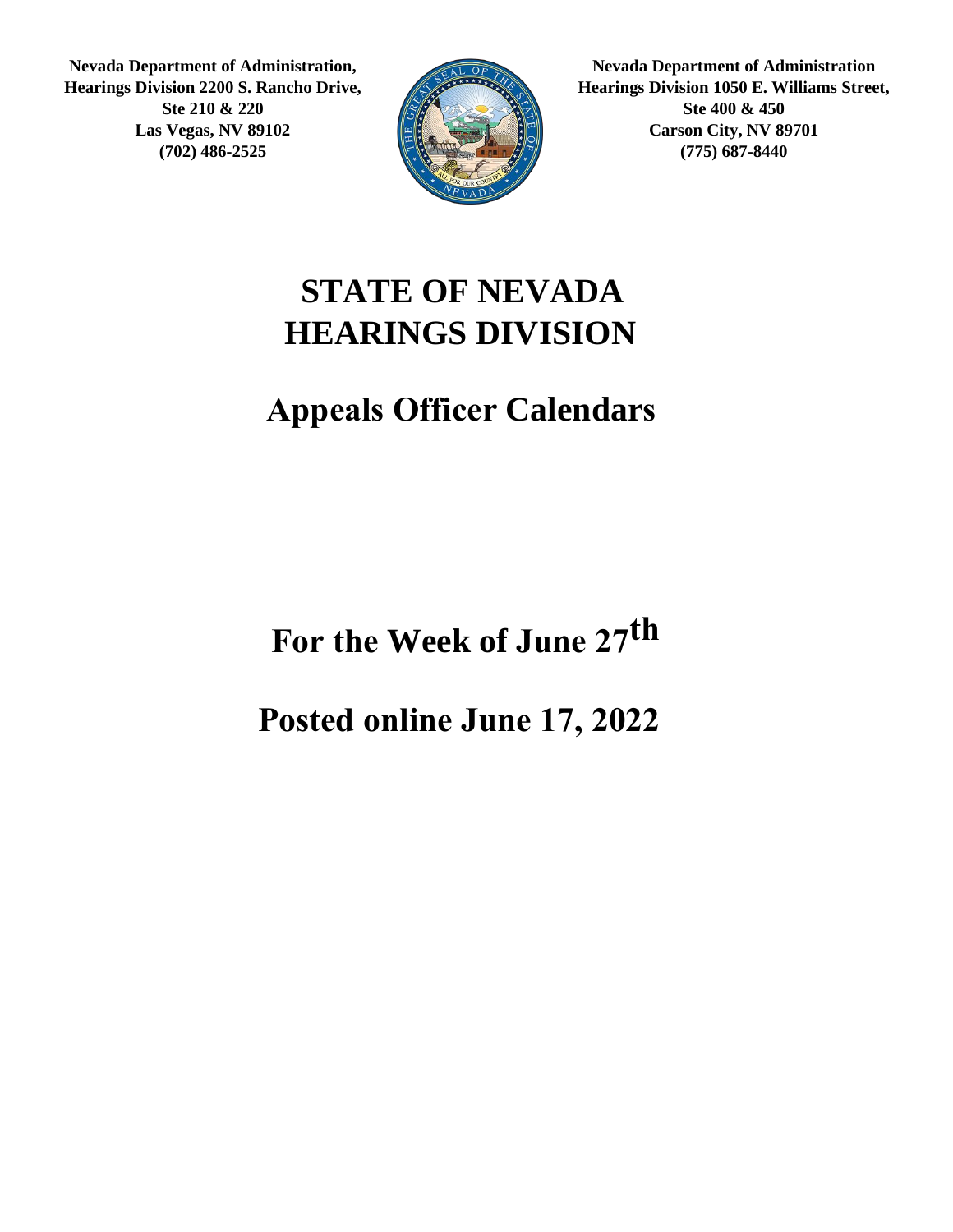**Nevada Department of Administration, Hearings Division 2200 S. Rancho Drive, Ste 210 & 220 Las Vegas, NV 89102 (702) 486-2525**



**Nevada Department of Administration Hearings Division 1050 E. Williams Street, Ste 400 & 450 Carson City, NV 89701 (775) 687-8440**

#### **STATE OF NEVADA HEARINGS DIVISION**

#### **Appeals Officer Calendars**

For the Week of June 27<sup>th</sup>

**Posted online June 17, 2022**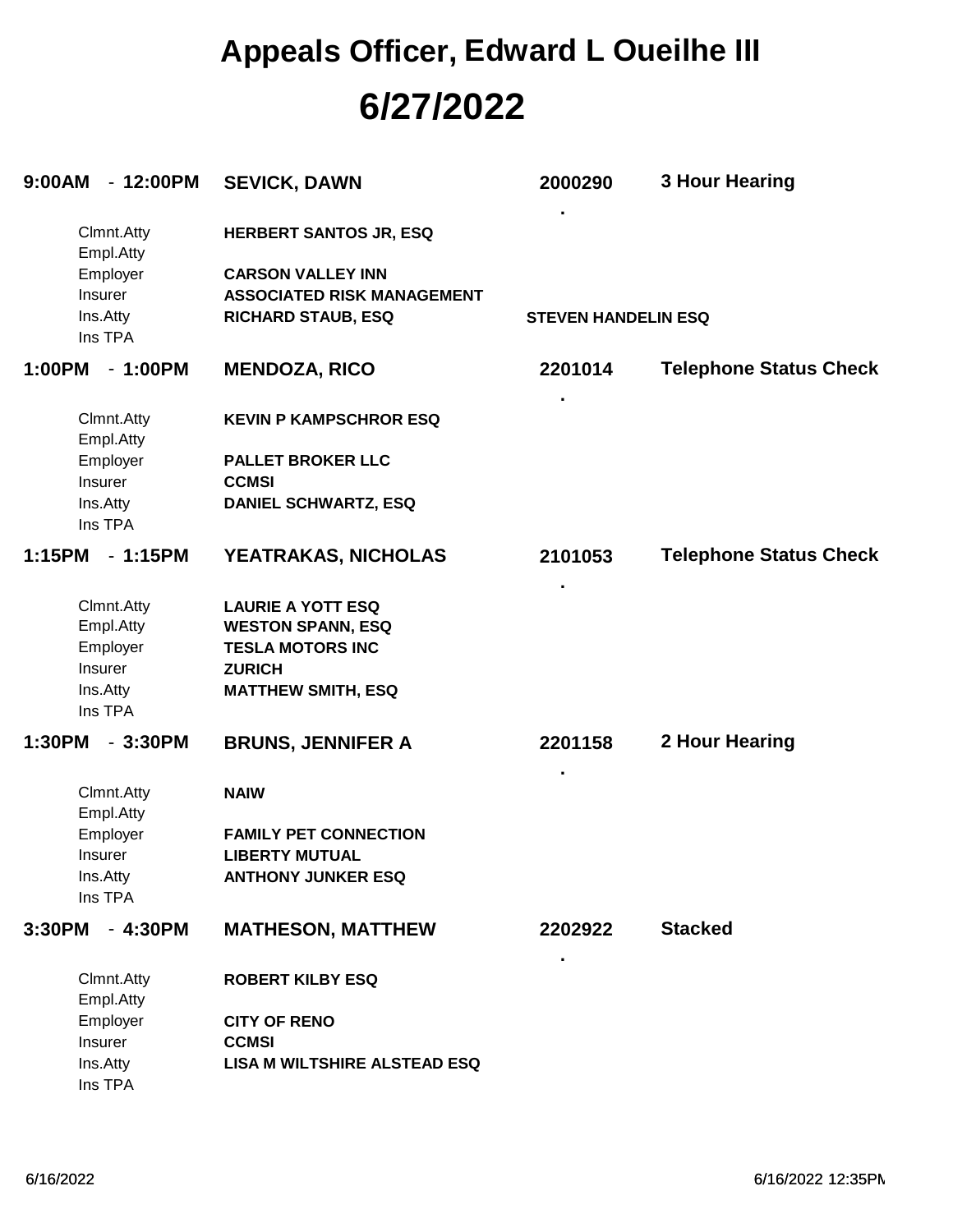# **6/27/2022 Appeals Officer, Edward L Oueilhe III**

| 9:00AM | $-12:00PM$              | <b>SEVICK, DAWN</b>                 | 2000290                    | <b>3 Hour Hearing</b>         |  |  |
|--------|-------------------------|-------------------------------------|----------------------------|-------------------------------|--|--|
|        | Clmnt.Atty<br>Empl.Atty | <b>HERBERT SANTOS JR, ESQ</b>       |                            |                               |  |  |
|        | Employer                | <b>CARSON VALLEY INN</b>            |                            |                               |  |  |
|        | Insurer                 | <b>ASSOCIATED RISK MANAGEMENT</b>   |                            |                               |  |  |
|        | Ins.Atty<br>Ins TPA     | <b>RICHARD STAUB, ESQ</b>           | <b>STEVEN HANDELIN ESQ</b> |                               |  |  |
| 1:00PM | $-1:00PM$               | <b>MENDOZA, RICO</b>                | 2201014                    | <b>Telephone Status Check</b> |  |  |
|        | Clmnt.Atty<br>Empl.Atty | <b>KEVIN P KAMPSCHROR ESQ</b>       |                            |                               |  |  |
|        | Employer                | <b>PALLET BROKER LLC</b>            |                            |                               |  |  |
|        | Insurer                 | <b>CCMSI</b>                        |                            |                               |  |  |
|        | Ins.Atty<br>Ins TPA     | <b>DANIEL SCHWARTZ, ESQ</b>         |                            |                               |  |  |
| 1:15PM | $-1:15PM$               | YEATRAKAS, NICHOLAS                 | 2101053                    | <b>Telephone Status Check</b> |  |  |
|        | Clmnt.Atty              | <b>LAURIE A YOTT ESQ</b>            |                            |                               |  |  |
|        | Empl.Atty               | <b>WESTON SPANN, ESQ</b>            |                            |                               |  |  |
|        | Employer                | <b>TESLA MOTORS INC</b>             |                            |                               |  |  |
|        | <b>Insurer</b>          | <b>ZURICH</b>                       |                            |                               |  |  |
|        | Ins.Atty<br>Ins TPA     | <b>MATTHEW SMITH, ESQ</b>           |                            |                               |  |  |
| 1:30PM | $-3:30PM$               | <b>BRUNS, JENNIFER A</b>            | 2201158                    | 2 Hour Hearing                |  |  |
|        | Clmnt.Atty              | <b>NAIW</b>                         |                            |                               |  |  |
|        | Empl.Atty               |                                     |                            |                               |  |  |
|        | Employer                | <b>FAMILY PET CONNECTION</b>        |                            |                               |  |  |
|        | <b>Insurer</b>          | <b>LIBERTY MUTUAL</b>               |                            |                               |  |  |
|        | Ins.Atty<br>Ins TPA     | <b>ANTHONY JUNKER ESQ</b>           |                            |                               |  |  |
| 3:30PM | $-4:30PM$               | <b>MATHESON, MATTHEW</b>            | 2202922                    | <b>Stacked</b>                |  |  |
|        | Clmnt.Atty<br>Empl.Atty | <b>ROBERT KILBY ESQ</b>             |                            |                               |  |  |
|        | Employer                | <b>CITY OF RENO</b>                 |                            |                               |  |  |
|        | Insurer                 | <b>CCMSI</b>                        |                            |                               |  |  |
|        | Ins.Atty                | <b>LISA M WILTSHIRE ALSTEAD ESQ</b> |                            |                               |  |  |
|        | Ins TPA                 |                                     |                            |                               |  |  |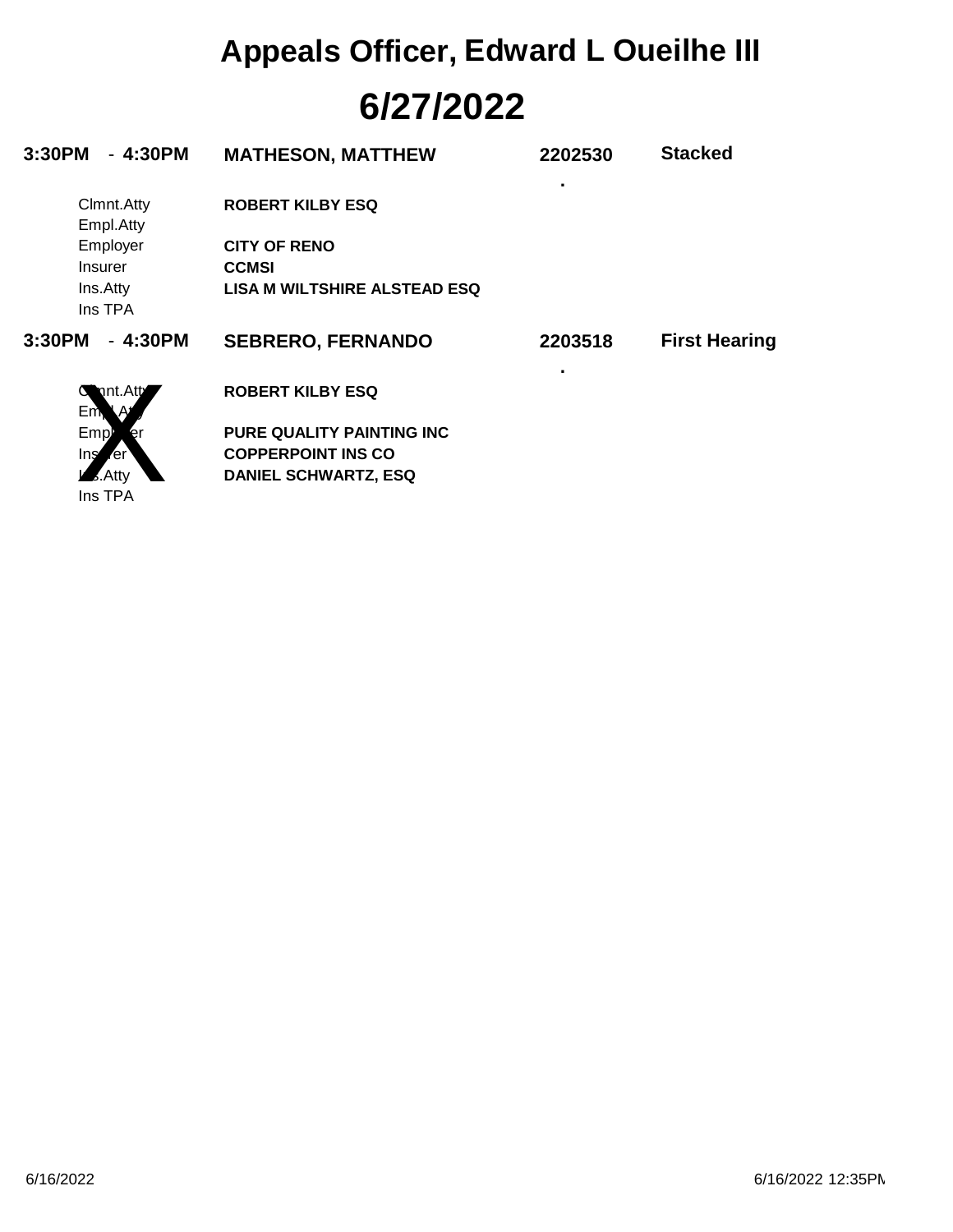# **6/27/2022 Appeals Officer, Edward L Oueilhe III**

| $-4:30PM$<br>3:30PM            | <b>MATHESON, MATTHEW</b>            | 2202530 | <b>Stacked</b>       |
|--------------------------------|-------------------------------------|---------|----------------------|
| Clmnt.Atty<br>Empl.Atty        | <b>ROBERT KILBY ESQ</b>             | ٠       |                      |
| Employer                       | <b>CITY OF RENO</b>                 |         |                      |
| Insurer                        | <b>CCMSI</b>                        |         |                      |
| Ins.Atty<br>Ins TPA            | <b>LISA M WILTSHIRE ALSTEAD ESQ</b> |         |                      |
| 3:30PM<br>$-4:30PM$            | <b>SEBRERO, FERNANDO</b>            | 2203518 | <b>First Hearing</b> |
| nt.Att<br>G<br>Em <sub>k</sub> | <b>ROBERT KILBY ESQ</b>             |         |                      |
| Empl                           | <b>PURE QUALITY PAINTING INC</b>    |         |                      |
| Ins<br><b>ren</b>              | <b>COPPERPOINT INS CO</b>           |         |                      |
| Atty                           | <b>DANIEL SCHWARTZ, ESQ</b>         |         |                      |
| Ins TPA                        |                                     |         |                      |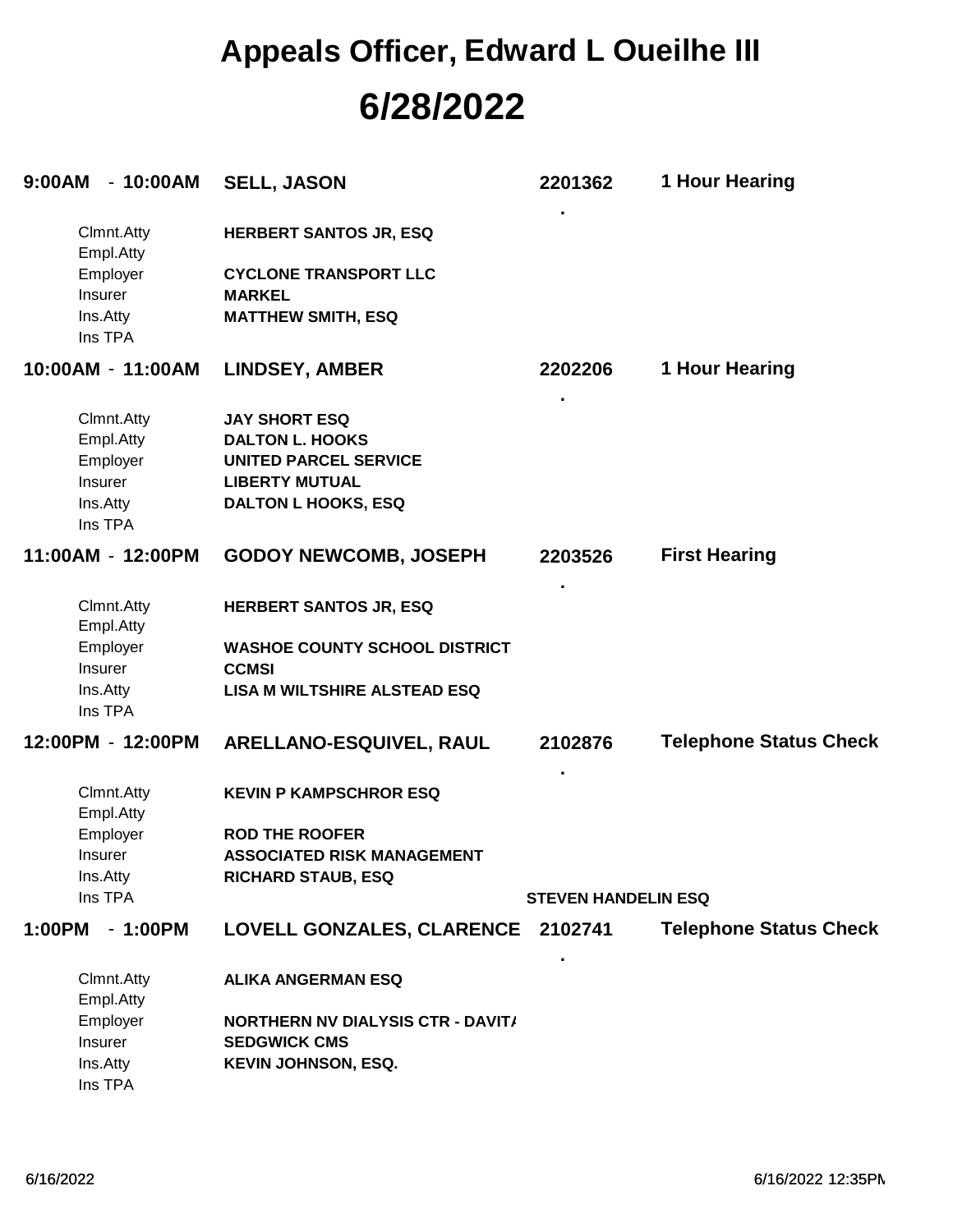## **6/28/2022 Appeals Officer, Edward L Oueilhe III**

| 9:00AM - 10:00AM        | <b>SELL, JASON</b>                                              | 2201362                    | 1 Hour Hearing                |
|-------------------------|-----------------------------------------------------------------|----------------------------|-------------------------------|
| Clmnt.Atty<br>Empl.Atty | <b>HERBERT SANTOS JR, ESQ</b>                                   |                            |                               |
| Employer                | <b>CYCLONE TRANSPORT LLC</b>                                    |                            |                               |
| Insurer                 | <b>MARKEL</b>                                                   |                            |                               |
| Ins.Atty<br>Ins TPA     | <b>MATTHEW SMITH, ESQ</b>                                       |                            |                               |
| 10:00AM - 11:00AM       | <b>LINDSEY, AMBER</b>                                           | 2202206                    | 1 Hour Hearing                |
| Clmnt.Atty              | <b>JAY SHORT ESQ</b>                                            |                            |                               |
| Empl.Atty               | <b>DALTON L. HOOKS</b>                                          |                            |                               |
| Employer                | <b>UNITED PARCEL SERVICE</b>                                    |                            |                               |
| Insurer                 | <b>LIBERTY MUTUAL</b>                                           |                            |                               |
| Ins.Atty<br>Ins TPA     | <b>DALTON L HOOKS, ESQ</b>                                      |                            |                               |
| 11:00AM - 12:00PM       | <b>GODOY NEWCOMB, JOSEPH</b>                                    | 2203526                    | <b>First Hearing</b>          |
| Clmnt.Atty<br>Empl.Atty | <b>HERBERT SANTOS JR, ESQ</b>                                   |                            |                               |
| Employer                | <b>WASHOE COUNTY SCHOOL DISTRICT</b>                            |                            |                               |
| Insurer                 | <b>CCMSI</b>                                                    |                            |                               |
| Ins.Atty                | <b>LISA M WILTSHIRE ALSTEAD ESQ</b>                             |                            |                               |
| Ins TPA                 |                                                                 |                            |                               |
| 12:00PM - 12:00PM       | ARELLANO-ESQUIVEL, RAUL                                         | 2102876                    | <b>Telephone Status Check</b> |
| Clmnt.Atty<br>Empl.Atty | <b>KEVIN P KAMPSCHROR ESQ</b>                                   |                            |                               |
| Employer                | <b>ROD THE ROOFER</b>                                           |                            |                               |
| Insurer                 | <b>ASSOCIATED RISK MANAGEMENT</b>                               |                            |                               |
| Ins.Atty                | <b>RICHARD STAUB, ESQ</b>                                       |                            |                               |
| Ins TPA                 |                                                                 | <b>STEVEN HANDELIN ESQ</b> |                               |
| 1:00PM<br>$-1:00PM$     | LOVELL GONZALES, CLARENCE 2102741                               |                            | <b>Telephone Status Check</b> |
| Clmnt.Atty              | <b>ALIKA ANGERMAN ESQ</b>                                       |                            |                               |
| Empl.Atty               |                                                                 |                            |                               |
| Employer<br>Insurer     | <b>NORTHERN NV DIALYSIS CTR - DAVIT/</b><br><b>SEDGWICK CMS</b> |                            |                               |
| Ins.Atty                | <b>KEVIN JOHNSON, ESQ.</b>                                      |                            |                               |
| Ins TPA                 |                                                                 |                            |                               |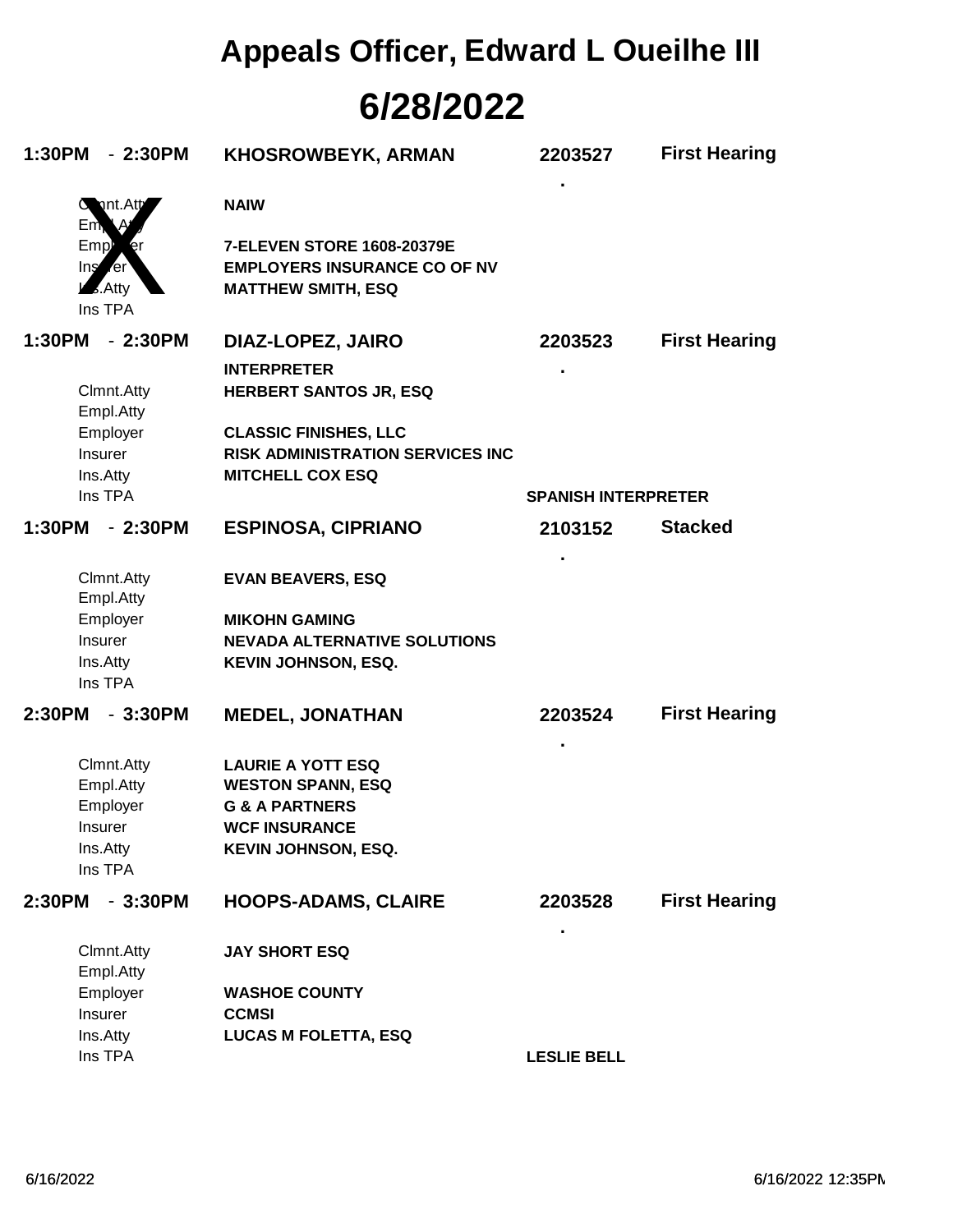## **6/28/2022 Appeals Officer, Edward L Oueilhe III**

| 1:30PM | $-2:30PM$                                                | <b>KHOSROWBEYK, ARMAN</b>                                                                      | 2203527                    | <b>First Hearing</b> |
|--------|----------------------------------------------------------|------------------------------------------------------------------------------------------------|----------------------------|----------------------|
|        | nt.Att<br>Em,                                            | <b>NAIW</b>                                                                                    |                            |                      |
|        | Emp<br>Ing<br><b>Ter</b><br>$\sqrt{2}$ . Atty<br>Ins TPA | 7-ELEVEN STORE 1608-20379E<br><b>EMPLOYERS INSURANCE CO OF NV</b><br><b>MATTHEW SMITH, ESQ</b> |                            |                      |
| 1:30PM | $-2:30PM$                                                | DIAZ-LOPEZ, JAIRO                                                                              | 2203523                    | <b>First Hearing</b> |
|        |                                                          | <b>INTERPRETER</b>                                                                             |                            |                      |
|        | Clmnt.Atty<br>Empl.Atty                                  | <b>HERBERT SANTOS JR, ESQ</b>                                                                  |                            |                      |
|        | Employer                                                 | <b>CLASSIC FINISHES, LLC</b>                                                                   |                            |                      |
|        | <b>Insurer</b>                                           | <b>RISK ADMINISTRATION SERVICES INC</b>                                                        |                            |                      |
|        | Ins.Atty                                                 | <b>MITCHELL COX ESQ</b>                                                                        |                            |                      |
|        | Ins TPA                                                  |                                                                                                | <b>SPANISH INTERPRETER</b> |                      |
| 1:30PM | $-2:30PM$                                                | <b>ESPINOSA, CIPRIANO</b>                                                                      | 2103152                    | <b>Stacked</b>       |
|        | Clmnt.Atty<br>Empl.Atty                                  | <b>EVAN BEAVERS, ESQ</b>                                                                       |                            |                      |
|        | Employer                                                 | <b>MIKOHN GAMING</b>                                                                           |                            |                      |
|        | <b>Insurer</b>                                           | <b>NEVADA ALTERNATIVE SOLUTIONS</b>                                                            |                            |                      |
|        | Ins.Atty                                                 | <b>KEVIN JOHNSON, ESQ.</b>                                                                     |                            |                      |
|        | Ins TPA                                                  |                                                                                                |                            |                      |
| 2:30PM | $-3:30PM$                                                | <b>MEDEL, JONATHAN</b>                                                                         | 2203524                    | <b>First Hearing</b> |
|        | Clmnt.Atty                                               | <b>LAURIE A YOTT ESQ</b>                                                                       |                            |                      |
|        | Empl.Atty                                                | <b>WESTON SPANN, ESQ</b>                                                                       |                            |                      |
|        | Employer                                                 | <b>G &amp; A PARTNERS</b>                                                                      |                            |                      |
|        | <b>Insurer</b>                                           | <b>WCF INSURANCE</b>                                                                           |                            |                      |
|        | Ins.Atty                                                 | <b>KEVIN JOHNSON, ESQ.</b>                                                                     |                            |                      |
|        | Ins TPA                                                  |                                                                                                |                            |                      |
| 2:30PM | $-3:30PM$                                                | <b>HOOPS-ADAMS, CLAIRE</b>                                                                     | 2203528                    | <b>First Hearing</b> |
|        | Clmnt.Atty<br>Empl.Atty                                  | <b>JAY SHORT ESQ</b>                                                                           |                            |                      |
|        | Employer                                                 | <b>WASHOE COUNTY</b>                                                                           |                            |                      |
|        | Insurer                                                  | <b>CCMSI</b>                                                                                   |                            |                      |
|        | Ins.Atty                                                 | <b>LUCAS M FOLETTA, ESQ</b>                                                                    |                            |                      |
|        | Ins TPA                                                  |                                                                                                | <b>LESLIE BELL</b>         |                      |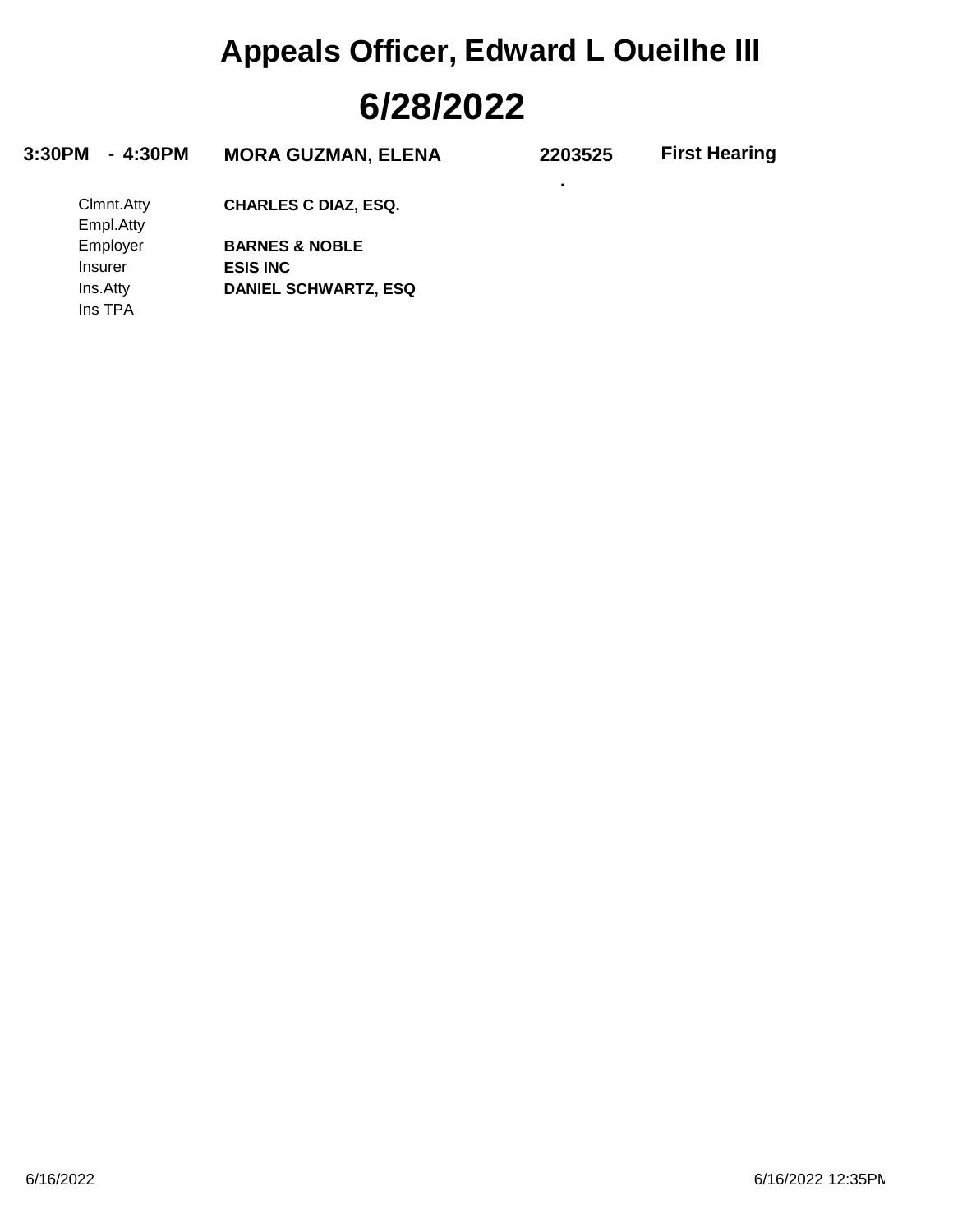# **6/28/2022 Appeals Officer, Edward L Oueilhe III**

| 3:30PM<br>- 4:30PM | <b>MORA GUZMAN, ELENA</b>   | 2203525 | <b>First Hearing</b> |
|--------------------|-----------------------------|---------|----------------------|
|                    |                             |         |                      |
| Clmnt.Atty         | <b>CHARLES C DIAZ, ESQ.</b> |         |                      |
| Empl.Atty          |                             |         |                      |
| Employer           | <b>BARNES &amp; NOBLE</b>   |         |                      |
| Insurer            | <b>ESIS INC</b>             |         |                      |

**DANIEL SCHWARTZ, ESQ**

Ins TPA Ins.Atty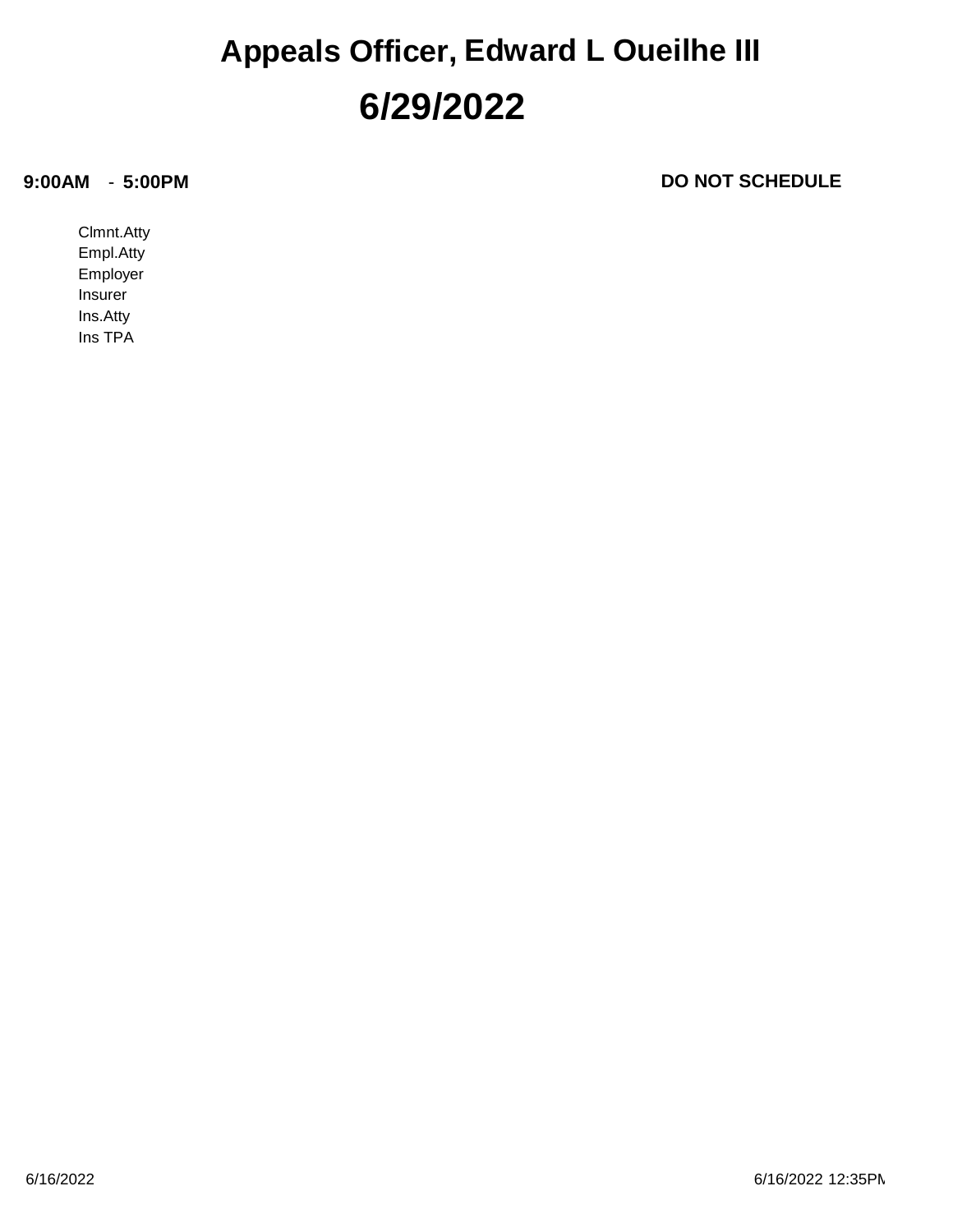#### **6/29/2022 Appeals Officer, Edward L Oueilhe III**

#### **9:00AM**

**DO NOT SCHEDULE** 

Ins TPA Ins.Atty Insurer Employer Empl.Atty Clmnt.Atty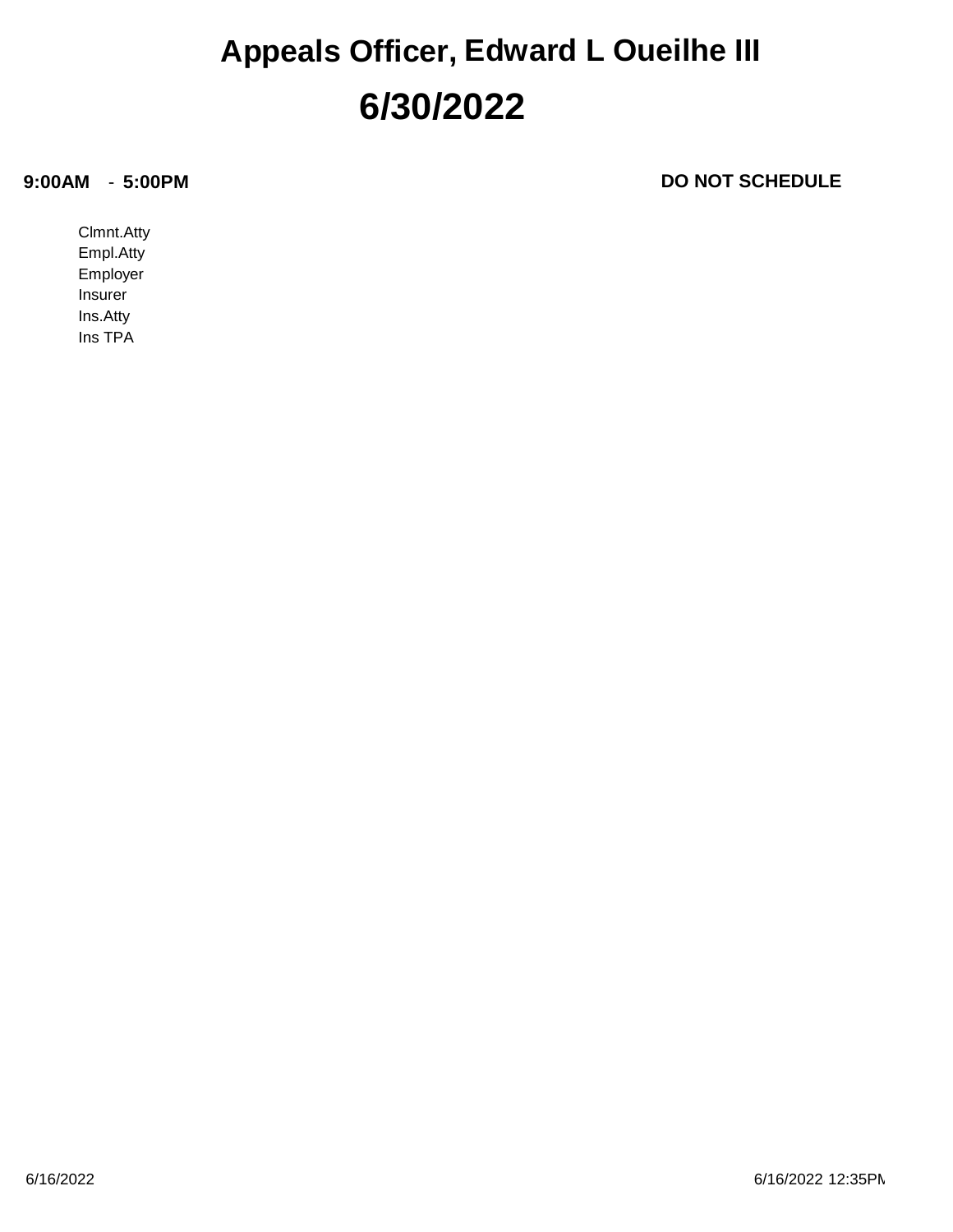#### **6/30/2022 Appeals Officer, Edward L Oueilhe III**

#### **9:00AM**

**DO NOT SCHEDULE** 

Ins TPA Ins.Atty Insurer Employer Empl.Atty Clmnt.Atty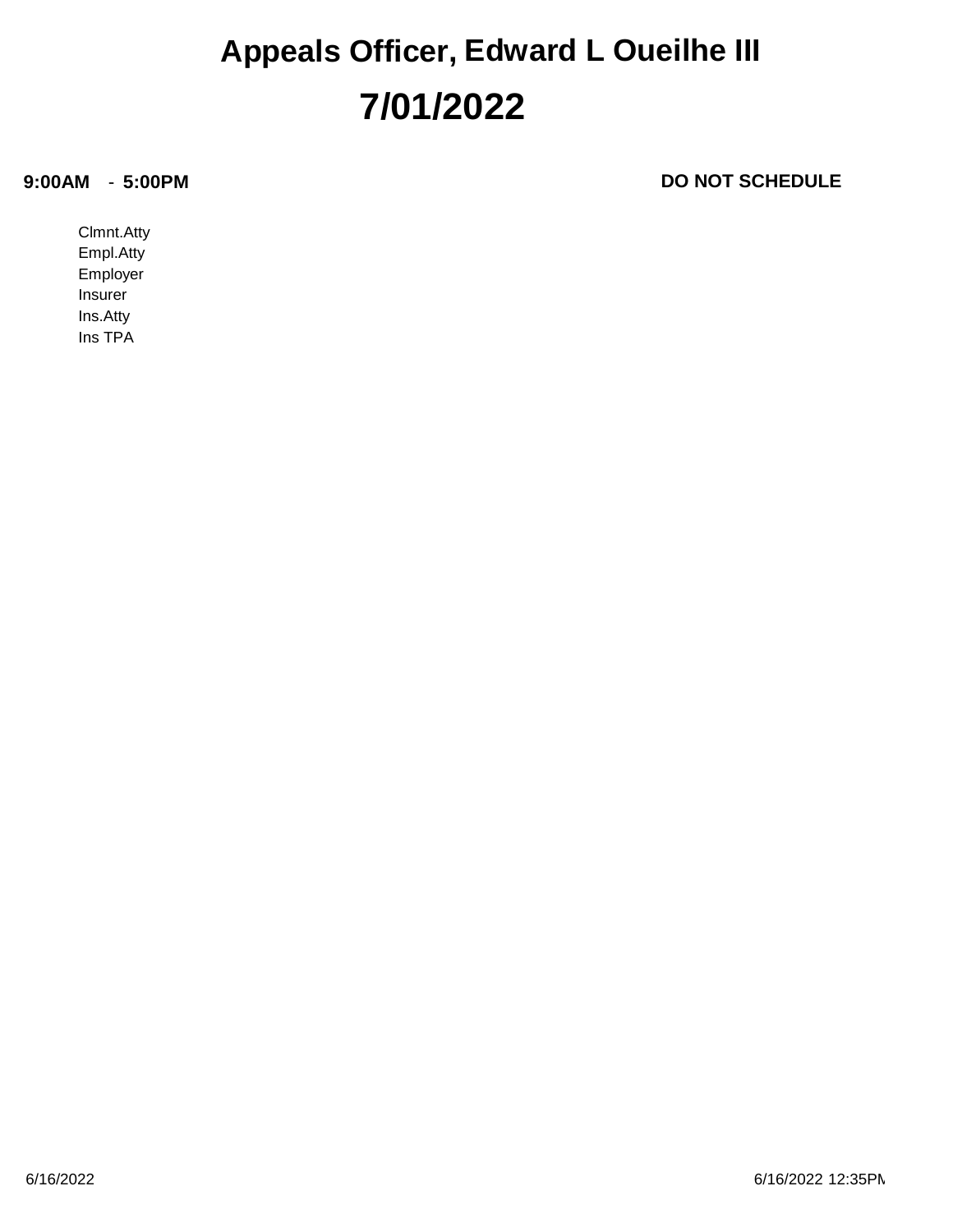#### **7/01/2022 Appeals Officer, Edward L Oueilhe III**

#### **9:00AM**

**DO NOT SCHEDULE** 

Ins TPA Ins.Atty Insurer Employer Empl.Atty Clmnt.Atty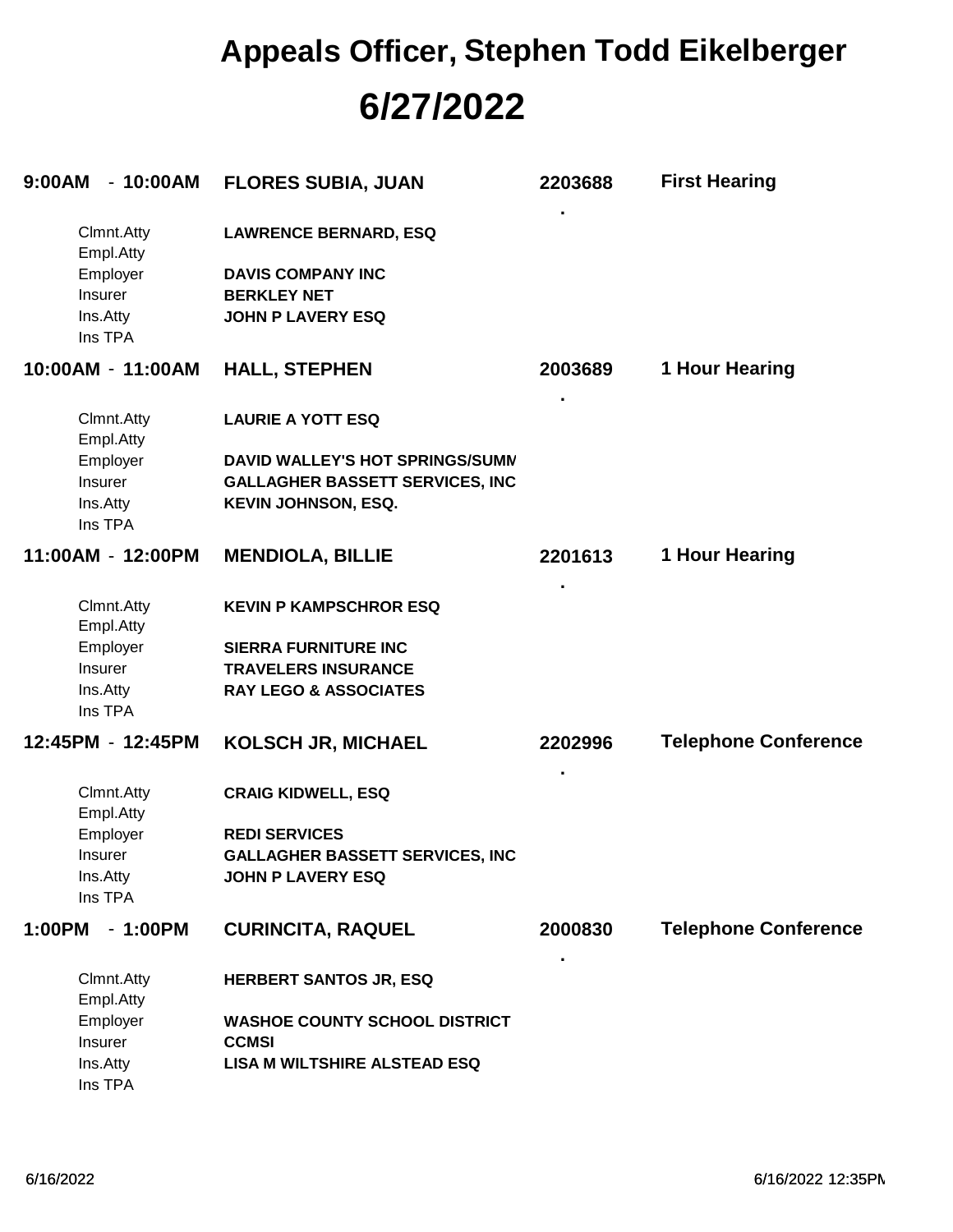## **6/27/2022 Appeals Officer, Stephen Todd Eikelberger**

| $-10:00AM$<br>9:00AM    | <b>FLORES SUBIA, JUAN</b>              | 2203688 | <b>First Hearing</b>        |
|-------------------------|----------------------------------------|---------|-----------------------------|
| Clmnt.Atty<br>Empl.Atty | <b>LAWRENCE BERNARD, ESQ</b>           |         |                             |
| Employer                | <b>DAVIS COMPANY INC</b>               |         |                             |
| Insurer                 | <b>BERKLEY NET</b>                     |         |                             |
| Ins.Atty<br>Ins TPA     | <b>JOHN P LAVERY ESQ</b>               |         |                             |
| 10:00AM - 11:00AM       | <b>HALL, STEPHEN</b>                   | 2003689 | 1 Hour Hearing              |
| Clmnt.Atty<br>Empl.Atty | <b>LAURIE A YOTT ESQ</b>               |         |                             |
| Employer                | DAVID WALLEY'S HOT SPRINGS/SUMN        |         |                             |
| Insurer                 | <b>GALLAGHER BASSETT SERVICES, INC</b> |         |                             |
| Ins.Atty<br>Ins TPA     | <b>KEVIN JOHNSON, ESQ.</b>             |         |                             |
| 11:00AM - 12:00PM       | <b>MENDIOLA, BILLIE</b>                | 2201613 | 1 Hour Hearing              |
| Clmnt.Atty<br>Empl.Atty | <b>KEVIN P KAMPSCHROR ESQ</b>          |         |                             |
| Employer                | <b>SIERRA FURNITURE INC</b>            |         |                             |
| Insurer                 | <b>TRAVELERS INSURANCE</b>             |         |                             |
| Ins.Atty<br>Ins TPA     | <b>RAY LEGO &amp; ASSOCIATES</b>       |         |                             |
| 12:45PM - 12:45PM       | <b>KOLSCH JR, MICHAEL</b>              | 2202996 | <b>Telephone Conference</b> |
| Clmnt.Atty<br>Empl.Atty | <b>CRAIG KIDWELL, ESQ</b>              |         |                             |
| Employer                | <b>REDI SERVICES</b>                   |         |                             |
| Insurer                 | <b>GALLAGHER BASSETT SERVICES, INC</b> |         |                             |
| Ins.Atty<br>Ins TPA     | <b>JOHN P LAVERY ESQ</b>               |         |                             |
| 1:00PM<br>$-1:00PM$     | <b>CURINCITA, RAQUEL</b>               | 2000830 | <b>Telephone Conference</b> |
| Clmnt.Atty<br>Empl.Atty | <b>HERBERT SANTOS JR, ESQ</b>          |         |                             |
| Employer                | <b>WASHOE COUNTY SCHOOL DISTRICT</b>   |         |                             |
| Insurer                 | <b>CCMSI</b>                           |         |                             |
| Ins.Atty<br>Ins TPA     | <b>LISA M WILTSHIRE ALSTEAD ESQ</b>    |         |                             |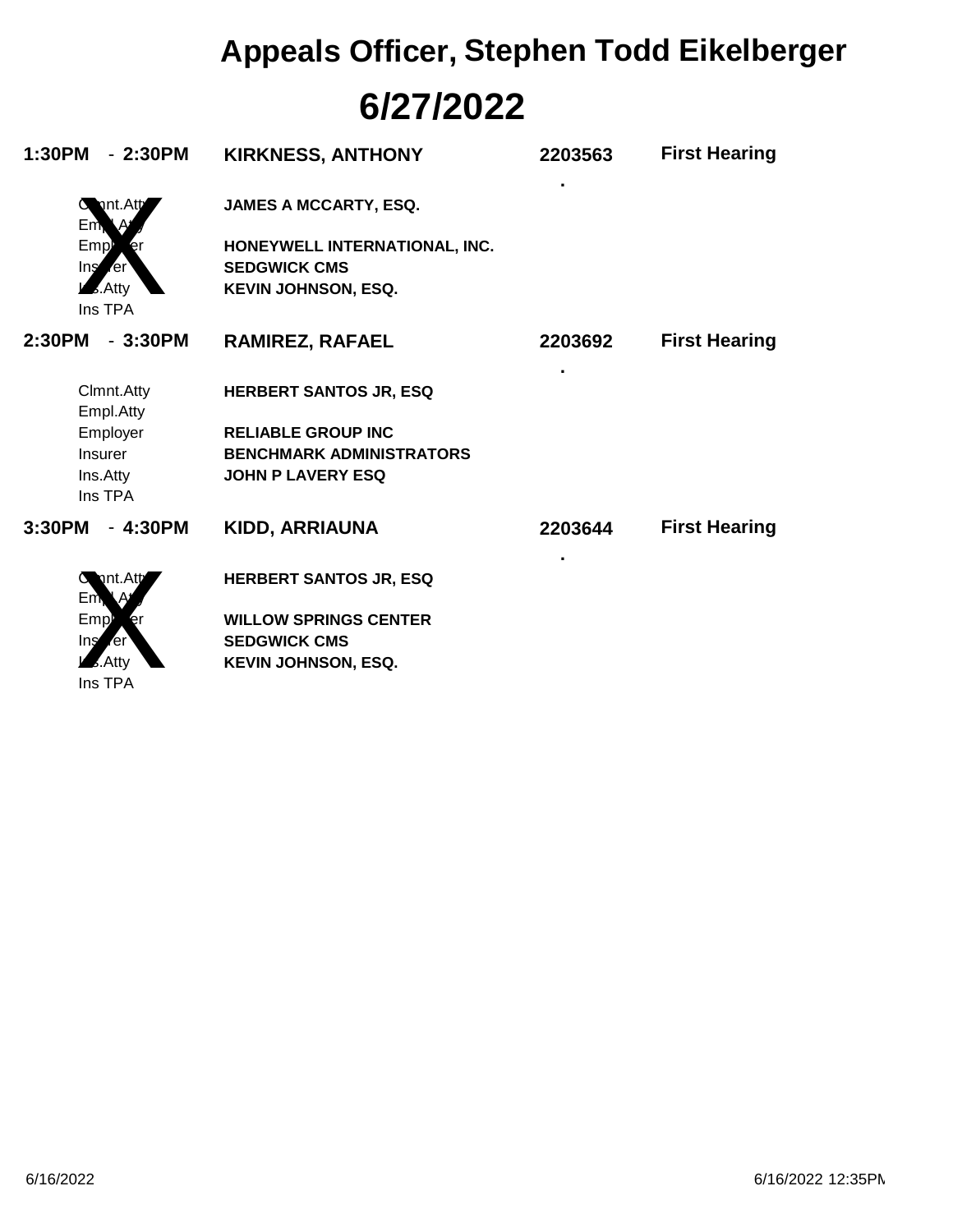# **6/27/2022 Appeals Officer, Stephen Todd Eikelberger**

| 1:30PM<br>$-2:30PM$                                                     | <b>KIRKNESS, ANTHONY</b>                                                           | 2203563 | <b>First Hearing</b> |
|-------------------------------------------------------------------------|------------------------------------------------------------------------------------|---------|----------------------|
| $C$ Int. Att<br>Em                                                      | <b>JAMES A MCCARTY, ESQ.</b>                                                       |         |                      |
| Emp <sup>1</sup><br>er<br>$\ln s$ er<br>$\overline{\mathcal{L}}$ . Atty | HONEYWELL INTERNATIONAL, INC.<br><b>SEDGWICK CMS</b><br><b>KEVIN JOHNSON, ESQ.</b> |         |                      |
| Ins TPA                                                                 |                                                                                    |         |                      |
| $-3:30PM$<br>2:30PM                                                     | <b>RAMIREZ, RAFAEL</b>                                                             | 2203692 | <b>First Hearing</b> |
| Clmnt.Atty<br>Empl.Atty                                                 | <b>HERBERT SANTOS JR, ESQ</b>                                                      | ٠       |                      |
| Employer                                                                | <b>RELIABLE GROUP INC</b>                                                          |         |                      |
| <b>Insurer</b>                                                          | <b>BENCHMARK ADMINISTRATORS</b>                                                    |         |                      |
| Ins.Atty<br>Ins TPA                                                     | <b>JOHN P LAVERY ESQ</b>                                                           |         |                      |
| 3:30PM<br>$-4:30PM$                                                     | <b>KIDD, ARRIAUNA</b>                                                              | 2203644 | <b>First Hearing</b> |
| nt.Att<br>Em                                                            | <b>HERBERT SANTOS JR, ESQ</b>                                                      | ٠       |                      |
| Emp<br>er                                                               | <b>WILLOW SPRINGS CENTER</b>                                                       |         |                      |
| Ins<br><b>r</b> er                                                      | <b>SEDGWICK CMS</b>                                                                |         |                      |
| Atty<br>Ins TPA                                                         | <b>KEVIN JOHNSON, ESQ.</b>                                                         |         |                      |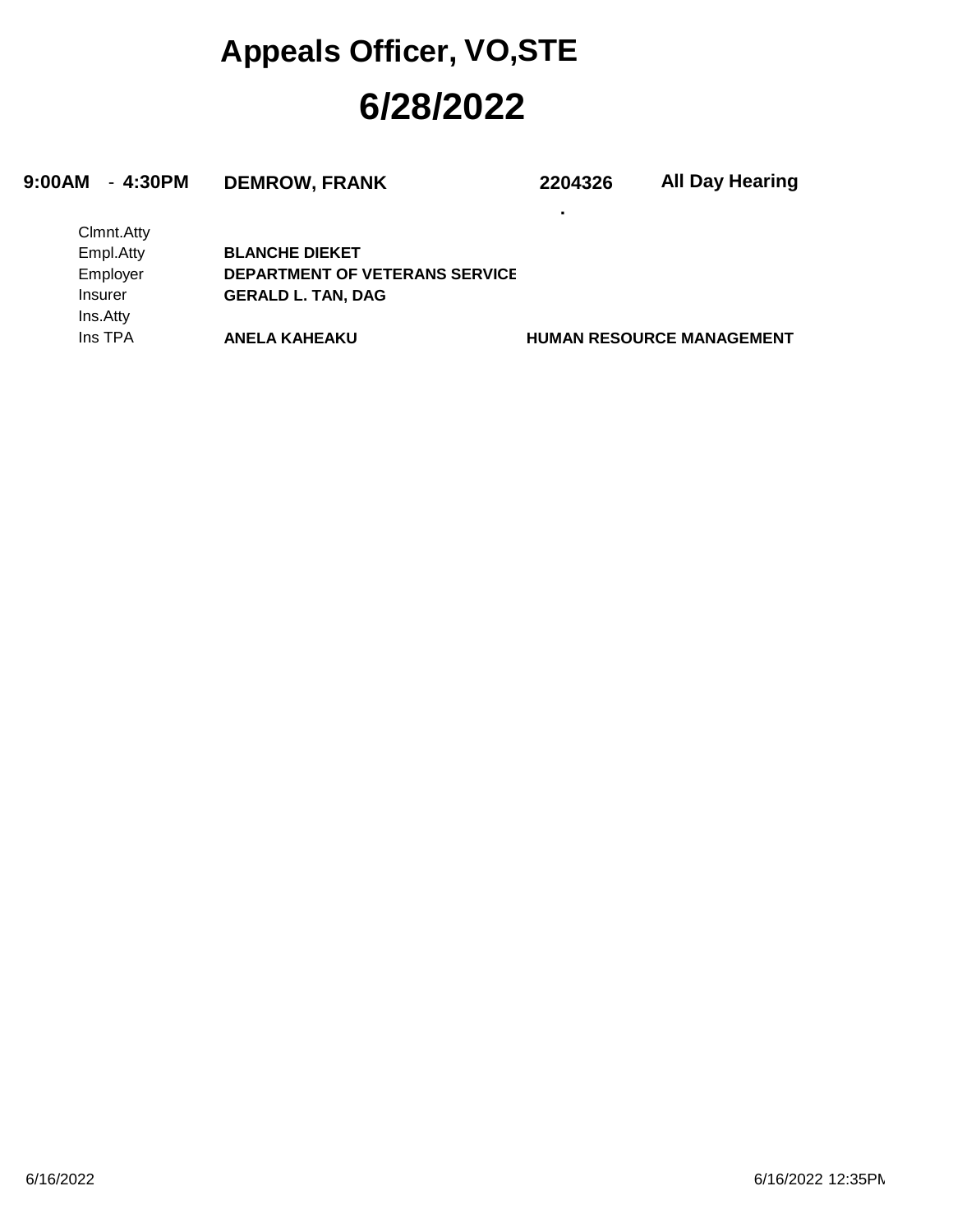### **6/28/2022 Appeals Officer, VO,STE**

#### **9:00AM** - **4:30PM DEMROW, FRANK 2204326**

**.**

**All Day Hearing**

| Clmnt.Atty     |                                       |
|----------------|---------------------------------------|
| Empl.Atty      | <b>BLANCHE DIEKET</b>                 |
| Employer       | <b>DEPARTMENT OF VETERANS SERVICE</b> |
| <b>Insurer</b> | <b>GERALD L. TAN, DAG</b>             |
| Ins.Atty       |                                       |
| Ins TPA        | <b>ANELA KAHEAKU</b>                  |

**HUMAN RESOURCE MANAGEMENT**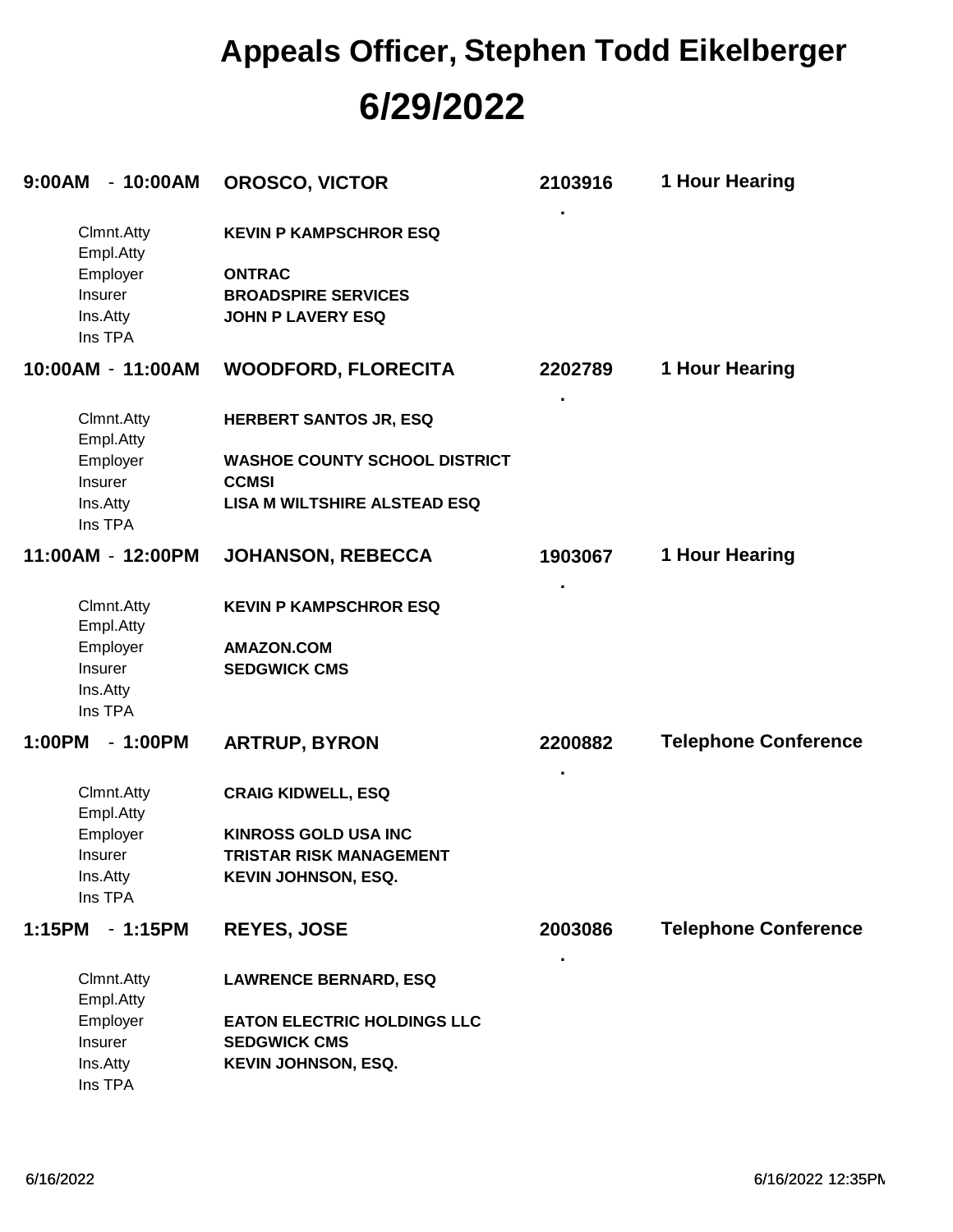### **6/29/2022 Appeals Officer, Stephen Todd Eikelberger**

| $-10:00AM$<br>9:00AM                                                  | <b>OROSCO, VICTOR</b>                                                                                    | 2103916      | 1 Hour Hearing              |
|-----------------------------------------------------------------------|----------------------------------------------------------------------------------------------------------|--------------|-----------------------------|
| Clmnt.Atty<br>Empl.Atty<br>Employer<br>Insurer<br>Ins.Atty<br>Ins TPA | <b>KEVIN P KAMPSCHROR ESQ</b><br><b>ONTRAC</b><br><b>BROADSPIRE SERVICES</b><br><b>JOHN P LAVERY ESQ</b> |              |                             |
| 10:00AM - 11:00AM                                                     | <b>WOODFORD, FLORECITA</b>                                                                               | 2202789      | 1 Hour Hearing              |
| Clmnt.Atty<br>Empl.Atty                                               | <b>HERBERT SANTOS JR, ESQ</b>                                                                            |              |                             |
| Employer<br>Insurer                                                   | <b>WASHOE COUNTY SCHOOL DISTRICT</b><br><b>CCMSI</b>                                                     |              |                             |
| Ins.Atty<br>Ins TPA                                                   | <b>LISA M WILTSHIRE ALSTEAD ESQ</b>                                                                      |              |                             |
| 11:00AM - 12:00PM                                                     | <b>JOHANSON, REBECCA</b>                                                                                 | 1903067      | 1 Hour Hearing              |
| Clmnt.Atty<br>Empl.Atty                                               | <b>KEVIN P KAMPSCHROR ESQ</b>                                                                            |              |                             |
| Employer<br>Insurer<br>Ins.Atty<br>Ins TPA                            | <b>AMAZON.COM</b><br><b>SEDGWICK CMS</b>                                                                 |              |                             |
| 1:00PM<br>$-1:00PM$                                                   | <b>ARTRUP, BYRON</b>                                                                                     | 2200882<br>× | <b>Telephone Conference</b> |
| Clmnt.Atty<br>Empl.Atty                                               | <b>CRAIG KIDWELL, ESQ</b>                                                                                |              |                             |
| Employer                                                              | <b>KINROSS GOLD USA INC</b>                                                                              |              |                             |
| Insurer                                                               | <b>TRISTAR RISK MANAGEMENT</b>                                                                           |              |                             |
| Ins.Atty<br>Ins TPA                                                   | <b>KEVIN JOHNSON, ESQ.</b>                                                                               |              |                             |
| 1:15PM<br>$-1:15PM$                                                   | <b>REYES, JOSE</b>                                                                                       | 2003086      | <b>Telephone Conference</b> |
| Clmnt.Atty<br>Empl.Atty                                               | <b>LAWRENCE BERNARD, ESQ</b>                                                                             |              |                             |
| Employer                                                              | <b>EATON ELECTRIC HOLDINGS LLC</b>                                                                       |              |                             |
| Insurer                                                               | <b>SEDGWICK CMS</b>                                                                                      |              |                             |
| Ins.Atty<br>Ins TPA                                                   | <b>KEVIN JOHNSON, ESQ.</b>                                                                               |              |                             |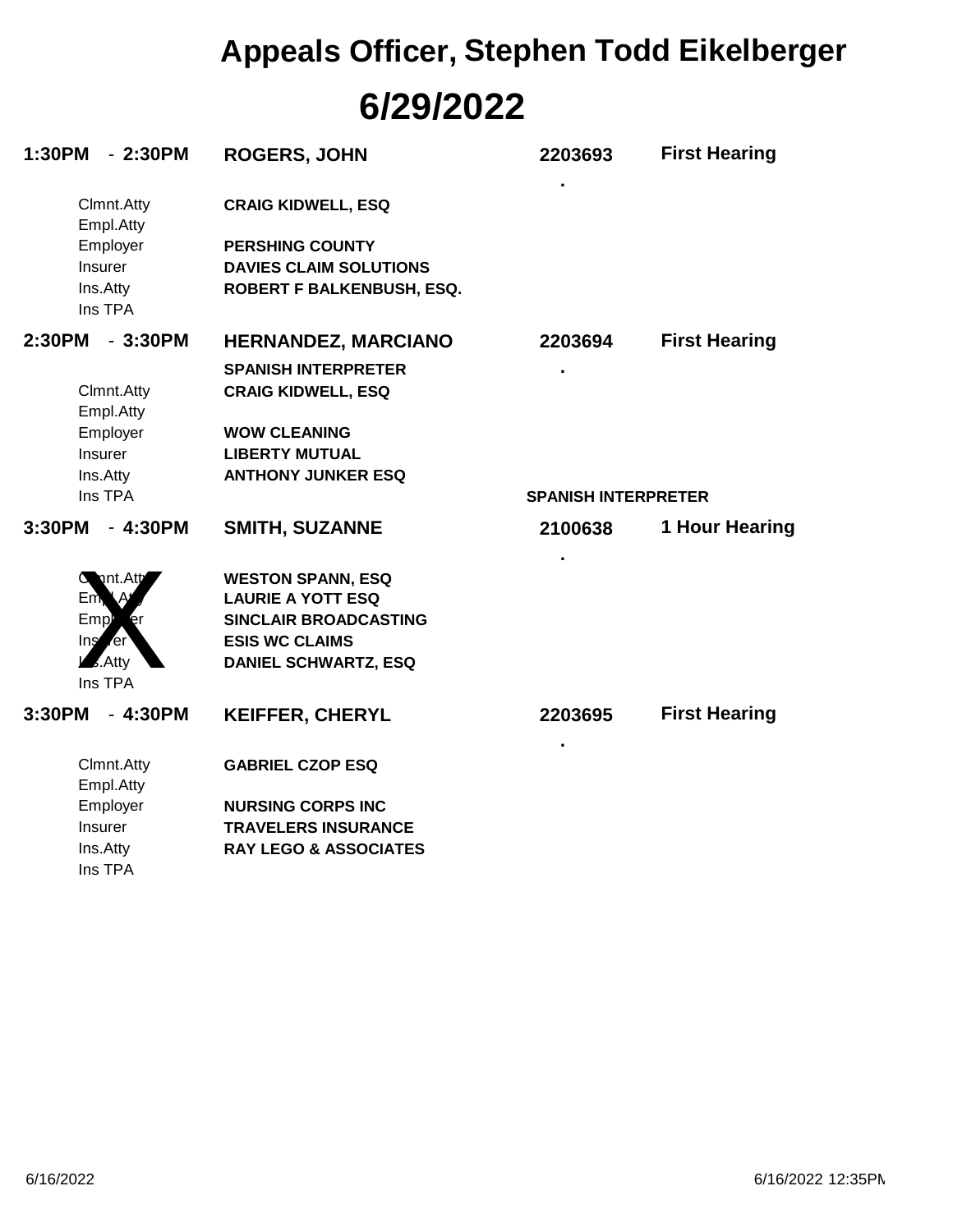# **6/29/2022 Appeals Officer, Stephen Todd Eikelberger**

| 1:30PM<br>$-2:30PM$            | <b>ROGERS, JOHN</b>              | 2203693                    | <b>First Hearing</b> |
|--------------------------------|----------------------------------|----------------------------|----------------------|
| Clmnt.Atty<br>Empl.Atty        | <b>CRAIG KIDWELL, ESQ</b>        |                            |                      |
| Employer                       | <b>PERSHING COUNTY</b>           |                            |                      |
| Insurer                        | <b>DAVIES CLAIM SOLUTIONS</b>    |                            |                      |
| Ins.Atty<br>Ins TPA            | ROBERT F BALKENBUSH, ESQ.        |                            |                      |
| 2:30PM<br>$-3:30PM$            | <b>HERNANDEZ, MARCIANO</b>       | 2203694                    | <b>First Hearing</b> |
|                                | <b>SPANISH INTERPRETER</b>       |                            |                      |
|                                |                                  |                            |                      |
| Clmnt.Atty<br>Empl.Atty        | <b>CRAIG KIDWELL, ESQ</b>        |                            |                      |
| Employer                       | <b>WOW CLEANING</b>              |                            |                      |
| <b>Insurer</b>                 | <b>LIBERTY MUTUAL</b>            |                            |                      |
| Ins.Atty                       | <b>ANTHONY JUNKER ESQ</b>        |                            |                      |
| Ins TPA                        |                                  | <b>SPANISH INTERPRETER</b> |                      |
| 3:30PM<br>$-4:30PM$            | <b>SMITH, SUZANNE</b>            | 2100638                    | 1 Hour Hearing       |
| nt.Att                         | <b>WESTON SPANN, ESQ</b>         |                            |                      |
| Em <sub>k</sub><br><b>۱</b>    | <b>LAURIE A YOTT ESQ</b>         |                            |                      |
| Emp <sup>b</sup><br>er         | <b>SINCLAIR BROADCASTING</b>     |                            |                      |
| <b>er</b><br>Ins               | <b>ESIS WC CLAIMS</b>            |                            |                      |
| $\overline{\mathbf{z}}$ . Atty | <b>DANIEL SCHWARTZ, ESQ</b>      |                            |                      |
| Ins TPA                        |                                  |                            |                      |
| 3:30PM<br>$-4:30PM$            | <b>KEIFFER, CHERYL</b>           | 2203695                    | <b>First Hearing</b> |
| Clmnt.Atty                     | <b>GABRIEL CZOP ESQ</b>          |                            |                      |
| Empl.Atty                      |                                  |                            |                      |
| Employer                       | <b>NURSING CORPS INC</b>         |                            |                      |
| Insurer                        | <b>TRAVELERS INSURANCE</b>       |                            |                      |
| Ins.Atty                       | <b>RAY LEGO &amp; ASSOCIATES</b> |                            |                      |
| Ins TPA                        |                                  |                            |                      |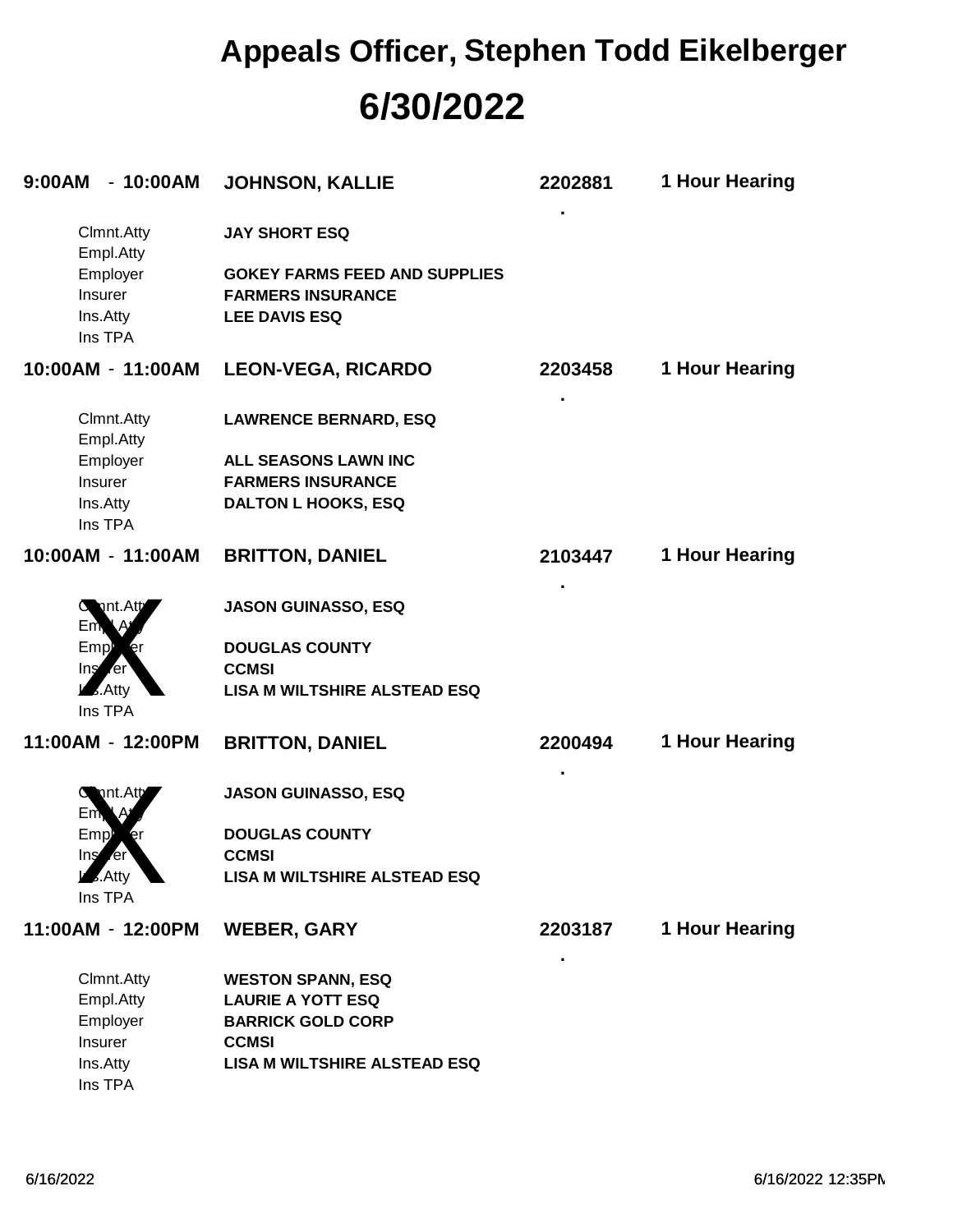### **6/30/2022 Appeals Officer, Stephen Todd Eikelberger**

| 9:00AM<br>$-10:00AM$            | <b>JOHNSON, KALLIE</b>               | 2202881 | 1 Hour Hearing |
|---------------------------------|--------------------------------------|---------|----------------|
| Clmnt.Atty<br>Empl.Atty         | <b>JAY SHORT ESQ</b>                 |         |                |
| Employer                        | <b>GOKEY FARMS FEED AND SUPPLIES</b> |         |                |
| Insurer                         | <b>FARMERS INSURANCE</b>             |         |                |
| Ins.Atty<br>Ins TPA             | <b>LEE DAVIS ESQ</b>                 |         |                |
| 10:00AM - 11:00AM               | <b>LEON-VEGA, RICARDO</b>            | 2203458 | 1 Hour Hearing |
| Clmnt.Atty<br>Empl.Atty         | <b>LAWRENCE BERNARD, ESQ</b>         |         |                |
| Employer                        | ALL SEASONS LAWN INC                 |         |                |
| Insurer                         | <b>FARMERS INSURANCE</b>             |         |                |
| Ins.Atty<br>Ins TPA             | <b>DALTON L HOOKS, ESQ</b>           |         |                |
| 10:00AM - 11:00AM               | <b>BRITTON, DANIEL</b>               | 2103447 | 1 Hour Hearing |
| $C$ int. Att<br>Em <sub>k</sub> | <b>JASON GUINASSO, ESQ</b>           |         |                |
| Emp <sup>p</sup> rer            | <b>DOUGLAS COUNTY</b>                |         |                |
| Instruct                        | <b>CCMSI</b>                         |         |                |
| $\sqrt{2}$ . Atty<br>Ins TPA    | <b>LISA M WILTSHIRE ALSTEAD ESQ</b>  |         |                |
| 11:00AM - 12:00PM               | <b>BRITTON, DANIEL</b>               | 2200494 | 1 Hour Hearing |
| $C$ int. Att<br>Em <sub>k</sub> | <b>JASON GUINASSO, ESQ</b>           |         |                |
| Emp                             | <b>DOUGLAS COUNTY</b>                |         |                |
| Ing<br>rer.                     | <b>CCMSI</b>                         |         |                |
| $\overline{\phantom{a}}$ . Atty | <b>LISA M WILTSHIRE ALSTEAD ESQ</b>  |         |                |
| Ins TPA                         |                                      |         |                |
| 11:00AM - 12:00PM               | <b>WEBER, GARY</b>                   | 2203187 | 1 Hour Hearing |
| Clmnt.Atty                      | <b>WESTON SPANN, ESQ</b>             |         |                |
| Empl.Atty                       | <b>LAURIE A YOTT ESQ</b>             |         |                |
| Employer                        | <b>BARRICK GOLD CORP</b>             |         |                |
| Insurer                         | <b>CCMSI</b>                         |         |                |
| Ins.Atty                        | <b>LISA M WILTSHIRE ALSTEAD ESQ</b>  |         |                |
| Ins TPA                         |                                      |         |                |